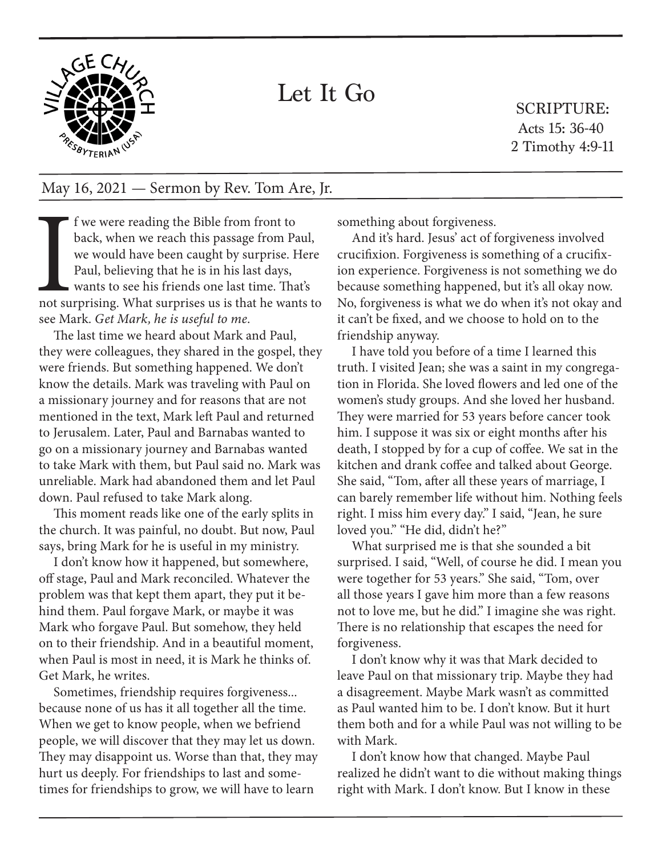

## Let It Go

SCRIPTURE: Acts 15: 36-40 2 Timothy 4:9-11

## May 16, 2021 — Sermon by Rev. Tom Are, Jr.

and su f we were reading the Bible from front to back, when we reach this passage from Paul, we would have been caught by surprise. Here Paul, believing that he is in his last days, wants to see his friends one last time. That's not surprising. What surprises us is that he wants to see Mark. *Get Mark, he is useful to me*.

The last time we heard about Mark and Paul, they were colleagues, they shared in the gospel, they were friends. But something happened. We don't know the details. Mark was traveling with Paul on a missionary journey and for reasons that are not mentioned in the text, Mark left Paul and returned to Jerusalem. Later, Paul and Barnabas wanted to go on a missionary journey and Barnabas wanted to take Mark with them, but Paul said no. Mark was unreliable. Mark had abandoned them and let Paul down. Paul refused to take Mark along.

This moment reads like one of the early splits in the church. It was painful, no doubt. But now, Paul says, bring Mark for he is useful in my ministry.

I don't know how it happened, but somewhere, off stage, Paul and Mark reconciled. Whatever the problem was that kept them apart, they put it behind them. Paul forgave Mark, or maybe it was Mark who forgave Paul. But somehow, they held on to their friendship. And in a beautiful moment, when Paul is most in need, it is Mark he thinks of. Get Mark, he writes.

Sometimes, friendship requires forgiveness... because none of us has it all together all the time. When we get to know people, when we befriend people, we will discover that they may let us down. They may disappoint us. Worse than that, they may hurt us deeply. For friendships to last and sometimes for friendships to grow, we will have to learn

something about forgiveness.

And it's hard. Jesus' act of forgiveness involved crucifixion. Forgiveness is something of a crucifixion experience. Forgiveness is not something we do because something happened, but it's all okay now. No, forgiveness is what we do when it's not okay and it can't be fixed, and we choose to hold on to the friendship anyway.

I have told you before of a time I learned this truth. I visited Jean; she was a saint in my congregation in Florida. She loved flowers and led one of the women's study groups. And she loved her husband. They were married for 53 years before cancer took him. I suppose it was six or eight months after his death, I stopped by for a cup of coffee. We sat in the kitchen and drank coffee and talked about George. She said, "Tom, after all these years of marriage, I can barely remember life without him. Nothing feels right. I miss him every day." I said, "Jean, he sure loved you." "He did, didn't he?"

What surprised me is that she sounded a bit surprised. I said, "Well, of course he did. I mean you were together for 53 years." She said, "Tom, over all those years I gave him more than a few reasons not to love me, but he did." I imagine she was right. There is no relationship that escapes the need for forgiveness.

I don't know why it was that Mark decided to leave Paul on that missionary trip. Maybe they had a disagreement. Maybe Mark wasn't as committed as Paul wanted him to be. I don't know. But it hurt them both and for a while Paul was not willing to be with Mark.

I don't know how that changed. Maybe Paul realized he didn't want to die without making things right with Mark. I don't know. But I know in these